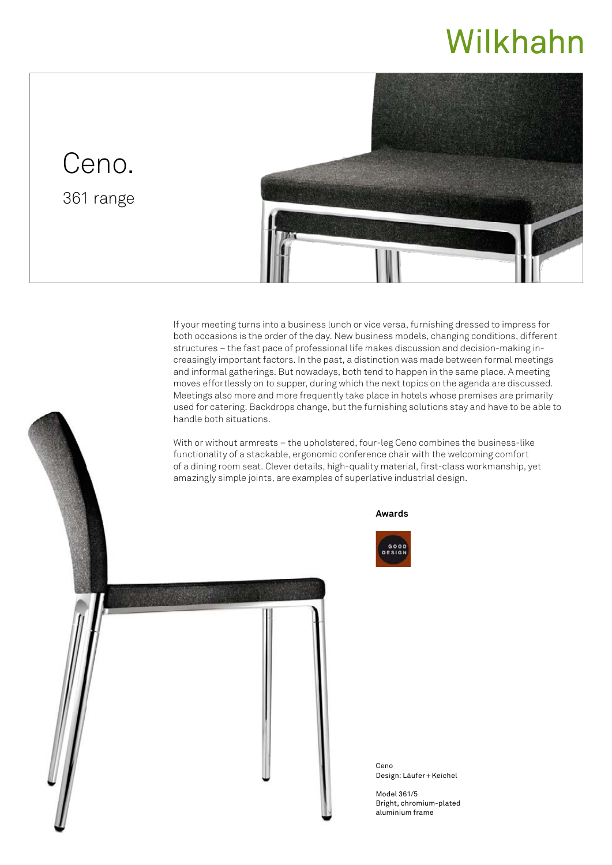## Wilkhahn

## Ceno.

361 range



If your meeting turns into a business lunch or vice versa, furnishing dressed to impress for both occasions is the order of the day. New business models, changing conditions, different structures – the fast pace of professional life makes discussion and decision-making increasingly important factors. In the past, a distinction was made between formal meetings and informal gatherings. But nowadays, both tend to happen in the same place. A meeting moves effortlessly on to supper, during which the next topics on the agenda are discussed. Meetings also more and more frequently take place in hotels whose premises are primarily used for catering. Backdrops change, but the furnishing solutions stay and have to be able to handle both situations.

With or without armrests – the upholstered, four-leg Ceno combines the business-like functionality of a stackable, ergonomic conference chair with the welcoming comfort of a dining room seat. Clever details, high-quality material, first-class workmanship, yet amazingly simple joints, are examples of superlative industrial design.





Ceno Design: Läufer+Keichel

Model 361/5 Bright, chromium-plated aluminium frame